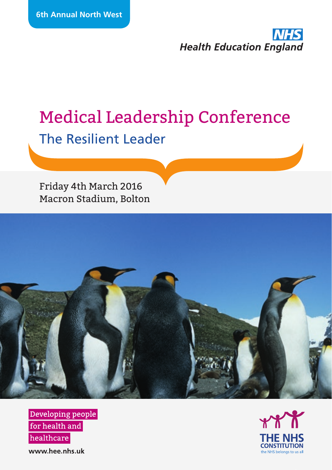

# Medical Leadership Conference The Resilient Leader

Friday 4th March 2016 Macron Stadium, Bolton



Developing people for health and healthcare

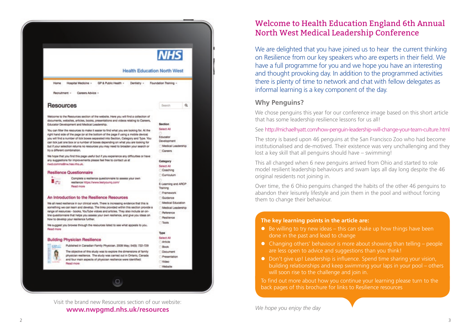

Visit the brand new Resources section of our website: **www.nwpgmd.nhs.uk/resources**

#### Welcome to Health Education England 6th Annual North West Medical Leadership Conference

We are delighted that you have joined us to hear the current thinking on Resilience from our key speakers who are experts in their field. We have a full programme for you and we hope you have an interesting and thought provoking day. In addition to the programmed activities there is plenty of time to network and chat with fellow delegates as informal learning is a key component of the day.

#### **Why Penguins?**

We chose penguins this year for our conference image based on this short article that has some leadership resilience lessons for us all!

See http://michaelhyatt.com/how-penguin-leadership-will-change-your-team-culture.html

The story is based upon 46 penguins at the San Francisco Zoo who had become institutionalised and de-motived. Their existence was very unchallenging and they lost a key skill that all penguins should have – swimming!

This all changed when 6 new penguins arrived from Ohio and started to role model resilient leadership behaviours and swam laps all day long despite the 46 original residents not joining in.

Over time, the 6 Ohio penguins changed the habits of the other 46 penguins to abandon their leisurely lifestyle and join them in the pool and without forcing them to change their behaviour.

#### **The key learning points in the article are:**

- $\bullet$  Be willing to try new ideas this can shake up how things have been done in the past and lead to change
- $\bullet$  Changing others' behaviour is more about showing than telling people are less open to advice and suggestions than you think!
- Don't give up! Leadership is influence. Spend time sharing your vision, building relationships and keep swimming your laps in your pool – others will soon rise to the challenge and join in.

To find out more about how you continue your learning please turn to the back pages of this brochure for links to Resilience resources

*We hope you enjoy the day*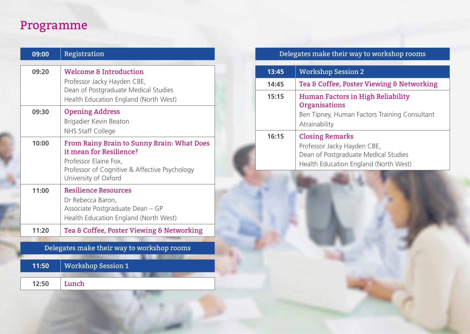# Programme

| 09:00 | Registration                                                                                                                                                            |
|-------|-------------------------------------------------------------------------------------------------------------------------------------------------------------------------|
| 09:20 | <b>Welcome &amp; Introduction</b><br>Professor Jacky Hayden CBE,<br>Dean of Postgraduate Medical Studies<br>Health Education England (North West)                       |
| 09:30 | <b>Opening Address</b><br>Brigadier Kevin Beaton<br>NHS Staff College                                                                                                   |
| 10:00 | From Rainy Brain to Sunny Brain: What Does<br>it mean for Resilience?<br>Professor Elaine Fox,<br>Professor of Cognitive & Affective Psychology<br>University of Oxford |
| 11:00 | <b>Resilience Resources</b><br>Dr Rebecca Baron,<br>Associate Postgraduate Dean - GP<br>Health Education England (North West)                                           |
| 11:20 | Tea & Coffee, Poster Viewing & Networking                                                                                                                               |

Delegates make their way to workshop rooms

| 11:50 | Workshop Session 1 |  |
|-------|--------------------|--|
|       |                    |  |
| 12:50 | Lunch              |  |

### Delegates make their way to workshop rooms

| 13:45 | <b>Workshop Session 2</b>                                                                                                              |
|-------|----------------------------------------------------------------------------------------------------------------------------------------|
| 14:45 | Tea & Coffee, Poster Viewing & Networking                                                                                              |
| 15:15 | Human Factors in High Reliability<br>Organisations<br>Ben Tipney, Human Factors Training Consultant<br>Atrainability                   |
| 16:15 | <b>Closing Remarks</b><br>Professor Jacky Hayden CBE,<br>Dean of Postgraduate Medical Studies<br>Health Education England (North West) |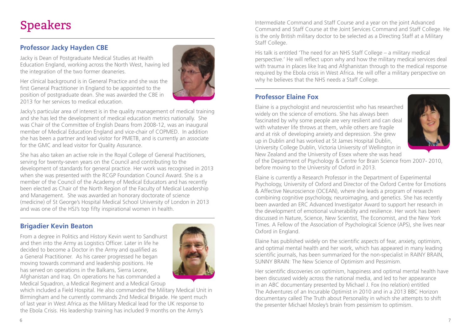# Speakers

#### **Professor Jacky Hayden CBE**

Jacky is Dean of Postgraduate Medical Studies at Health Education England, working across the North West, having led the integration of the two former deaneries.

Her clinical background is in General Practice and she was the first General Practitioner in England to be appointed to the position of postgraduate dean. She was awarded the CBE in 2013 for her services to medical education.



Jacky's particular area of interest is in the quality management of medical training and she has led the development of medical education metrics nationally. She was Chair of the Committee of English Deans from 2008-12, was an inaugural member of Medical Education England and vice-chair of COPMED. In addition she has been a partner and lead visitor for PMETB, and is currently an associate for the GMC and lead visitor for Quality Assurance.

She has also taken an active role in the Royal College of General Practitioners, serving for twenty-seven years on the Council and contributing to the development of standards for general practice. Her work was recognised in 2013 when she was presented with the RCGP Foundation Council Award. She is a member of the Council of the Academy of Medical Educators and has recently been elected as Chair of the North Region of the Faculty of Medical Leadership and Management. She was awarded an honorary doctorate of science (medicine) of St George's Hospital Medical School University of London in 2013 and was one of the HSJ's top fifty inspirational women in health.

#### **Brigadier Kevin Beaton**

From a degree in Politics and History Kevin went to Sandhurst and then into the Army as Logistics Officer. Later in life he decided to become a Doctor in the Army and qualified as a General Practitioner. As his career progressed he began moving towards command and leadership positions. He has served on operations in the Balkans, Sierra Leone, Afghanistan and Iraq. On operations he has commanded a

Medical Squadron, a Medical Regiment and a Medical Group



which included a Field Hospital. He also commanded the Military Medical Unit in Birmingham and he currently commands 2nd Medical Brigade. He spent much of last year in West Africa as the Military Medical lead for the UK response to the Ebola Crisis. His leadership training has included 9 months on the Army's

Intermediate Command and Staff Course and a year on the joint Advanced Command and Staff Course at the Joint Services Command and Staff College. He is the only British military doctor to be selected as a Directing Staff at a Military Staff College.

His talk is entitled 'The need for an NHS Staff College – a military medical perspective.' He will reflect upon why and how the military medical services deal with trauma in places like Iraq and Afghanistan through to the medical response required by the Ebola crisis in West Africa. He will offer a military perspective on why he believes that the NHS needs a Staff College.

#### **Professor Elaine Fox**

Elaine is a psychologist and neuroscientist who has researched widely on the science of emotions. She has always been fascinated by why some people are very resilient and can deal with whatever life throws at them, while others are fragile and at risk of developing anxiety and depression. She grew up in Dublin and has worked at St James Hospital Dublin, University College Dublin, Victoria University of Wellington in New Zealand and the University of Essex where she was head



of the Department of Psychology & Centre for Brain Science from 2007- 2010, before moving to the University of Oxford in 2013.

Elaine is currently a Research Professor in the Department of Experimental Psychology, University of Oxford and Director of the Oxford Centre for Emotions & Affective Neuroscience (OCEAN), where she leads a program of research combining cognitive psychology, neuroimaging, and genetics. She has recently been awarded an ERC Advanced Investigator Award to support her research in the development of emotional vulnerability and resilience. Her work has been discussed in Nature, Science, New Scientist, The Economist, and the New York Times. A Fellow of the Association of Psychological Science (APS), she lives near Oxford in England.

Elaine has published widely on the scientific aspects of fear, anxiety, optimism, and optimal mental health and her work, which has appeared in many leading scientific journals, has been summarized for the non-specialist in RAINY BRAIN, SUNNY BRAIN: The New Science of Optimism and Pessimism.

Her scientific discoveries on optimism, happiness and optimal mental health have been discussed widely across the national media, and led to her appearance in an ABC documentary presented by Michael J. Fox (no relation) entitled The Adventures of an Incurable Optimist in 2010 and in a 2013 BBC Horizon documentary called The Truth about Personality in which she attempts to shift the presenter Michael Mosley's brain from pessimism to optimism.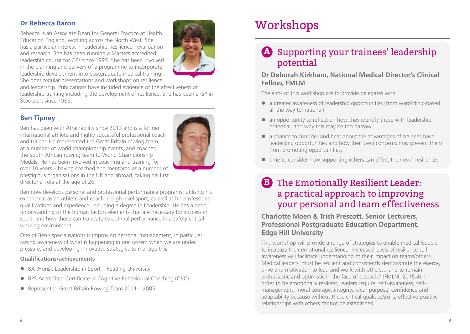#### **Dr Rebecca Baron**

Rebecca is an Associate Dean for General Practice at Health Education England, working across the North West. She has a particular interest in leadership, resilience, revalidation and research. She has been running a Masters accredited leadership course for GPs since 1997. She has been involved in the planning and delivery of a programme to incorporate leadership development into postgraduate medical training. She does regular presentations and workshops on resilience



and leadership. Publications have included evidence of the effectiveness of leadership training including the development of resilience. She has been a GP in Stockport since 1988.

#### **Ben Tipney**

Ben has been with Atrainability since 2013 and is a former international athlete and highly successful professional coach and trainer. He represented the Great Britain rowing team at a number of world championship events, and coached the South African rowing team to World Championship Medals. He has been involved in coaching and training for over 10 years – having coached and mentored at a number of prestigious organisations in the UK and abroad, taking his first directorial role at the age of 26.



Ben now develops personal and professional performance programs, utilising his experience as an athlete and coach in high level sport, as well as his professional qualifications and experience, including a degree in Leadership. He has a deep understanding of the human factors elements that are necessary for success in sport, and how those can translate to optimal performance in a safety critical working environment.

One of Ben's specialisations is improving personal management, in particular raising awareness of what is happening in our system when we are under pressure, and developing innovative strategies to manage this.

#### **Qualifications/achievements**

- BA (Hons), Leadership in Sport Reading University
- BPS Accredited Certificate in Cognitive Behavioural Coaching (CBC)
- Represented Great Britain Rowing Team 2001 2005

# Workshops

## Supporting your trainees' leadership **A** potential

#### **Dr Deborah Kirkham, National Medical Director's Clinical Fellow, FMLM**

The aims of this workshop are to provide delegates with:

- l a greater awareness of leadership opportunities (from ward/clinic-based all the way to national);
- $\bullet$  an opportunity to reflect on how they identify those with leadership potential, and why this may be too narrow;
- $\bullet$  a chance to consider and hear about the advantages of trainees have leadership opportunities and how their own concerns may prevent them from promoting opportunities;
- $\bullet$  time to consider how supporting others can affect their own resilience.

## The Emotionally Resilient Leader: **B** a practical approach to improving your personal and team effectiveness

**Charlotte Moen & Trish Prescott, Senior Lecturers, Professional Postgraduate Education Department, Edge Hill University**

This workshop will provide a range of strategies to enable medical leaders to increase their emotional resilience. Increased levels of resilience selfawareness will facilitate understanding of their impact on teams/others. Medical leaders 'must be resilient and consistently demonstrate the energy, drive and motivation to lead and work with others… and to remain enthusiastic and optimistic in the face of setbacks' (FMLM, 2015:4). In order to be emotionally resilient, leaders require; self-awareness, selfmanagement, moral courage, integrity, clear purpose, confidence and adaptability because without these critical qualities/skills, effective positive relationships with others cannot be established.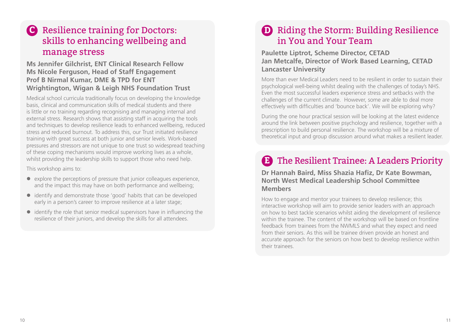### Resilience training for Doctors: **C D**skills to enhancing wellbeing and manage stress

#### **Ms Jennifer Gilchrist, ENT Clinical Research Fellow Ms Nicole Ferguson, Head of Staff Engagement Prof B Nirmal Kumar, DME & TPD for ENT Wrightington, Wigan & Leigh NHS Foundation Trust**

Medical school curricula traditionally focus on developing the knowledge basis, clinical and communication skills of medical students and there is little or no training regarding recognising and managing internal and external stress. Research shows that assisting staff in acquiring the tools and techniques to develop resilience leads to enhanced wellbeing, reduced stress and reduced burnout. To address this, our Trust initiated resilience training with great success at both junior and senior levels. Work-based pressures and stressors are not unique to one trust so widespread teaching of these coping mechanisms would improve working lives as a whole, whilst providing the leadership skills to support those who need help.

This workshop aims to:

- $\bullet$  explore the perceptions of pressure that junior colleagues experience, and the impact this may have on both performance and wellbeing;
- identify and demonstrate those 'good' habits that can be developed early in a person's career to improve resilience at a later stage;
- $\bullet$  identify the role that senior medical supervisors have in influencing the resilience of their juniors, and develop the skills for all attendees.

### **D** Riding the Storm: Building Resilience in You and Your Team

**Paulette Liptrot, Scheme Director, CETAD Jan Metcalfe, Director of Work Based Learning, CETAD Lancaster University**

More than ever Medical Leaders need to be resilient in order to sustain their psychological well-being whilst dealing with the challenges of today's NHS. Even the most successful leaders experience stress and setbacks with the challenges of the current climate. However, some are able to deal more effectively with difficulties and 'bounce back'. We will be exploring why?

During the one hour practical session will be looking at the latest evidence around the link between positive psychology and resilience, together with a prescription to build personal resilience. The workshop will be a mixture of theoretical input and group discussion around what makes a resilient leader.

## The Resilient Trainee: A Leaders Priority **E**

**Dr Hannah Baird, Miss Shazia Hafiz, Dr Kate Bowman, North West Medical Leadership School Committee Members**

How to engage and mentor your trainees to develop resilience; this interactive workshop will aim to provide senior leaders with an approach on how to best tackle scenarios whilst aiding the development of resilience within the trainee. The content of the workshop will be based on frontline feedback from trainees from the NWMLS and what they expect and need from their seniors. As this will be trainee driven provide an honest and accurate approach for the seniors on how best to develop resilience within their trainees.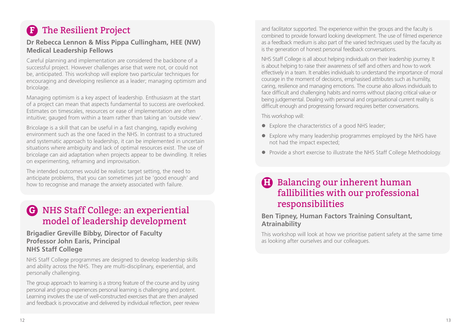# The Resilient Project **F**

#### **Dr Rebecca Lennon & Miss Pippa Cullingham, HEE (NW) Medical Leadership Fellows**

Careful planning and implementation are considered the backbone of a successful project. However challenges arise that were not, or could not be, anticipated. This workshop will explore two particular techniques for encouraging and developing resilience as a leader; managing optimism and bricolage.

Managing optimism is a key aspect of leadership. Enthusiasm at the start of a project can mean that aspects fundamental to success are overlooked. Estimates on timescales, resources or ease of implementation are often intuitive; gauged from within a team rather than taking an 'outside view'.

Bricolage is a skill that can be useful in a fast changing, rapidly evolving environment such as the one faced in the NHS. In contrast to a structured and systematic approach to leadership, it can be implemented in uncertain situations where ambiguity and lack of optimal resources exist. The use of bricolage can aid adaptation when projects appear to be dwindling. It relies on experimenting, reframing and improvisation.

The intended outcomes would be realistic target setting, the need to anticipate problems, that you can sometimes just be 'good enough' and how to recognise and manage the anxiety associated with failure.

### NHS Staff College: an experiential **G** model of leadership development

**Brigadier Greville Bibby, Director of Faculty Professor John Earis, Principal NHS Staff College** 

NHS Staff College programmes are designed to develop leadership skills and ability across the NHS. They are multi-disciplinary, experiential, and personally challenging.

The group approach to learning is a strong feature of the course and by using personal and group experiences personal learning is challenging and potent. Learning involves the use of well-constructed exercises that are then analysed and feedback is provocative and delivered by individual reflection, peer review

and facilitator supported. The experience within the groups and the faculty is combined to provide forward looking development. The use of filmed experience as a feedback medium is also part of the varied techniques used by the faculty as is the generation of honest personal feedback conversations.

NHS Staff College is all about helping individuals on their leadership journey. It is about helping to raise their awareness of self and others and how to work effectively in a team. It enables individuals to understand the importance of moral courage in the moment of decisions, emphasised attributes such as humility, caring, resilience and managing emotions. The course also allows individuals to face difficult and challenging habits and norms without placing critical value or being judgemental. Dealing with personal and organisational current reality is difficult enough and progressing forward requires better conversations.

This workshop will:

- $\bullet$  Explore the characteristics of a good NHS leader;
- Explore why many leadership programmes employed by the NHS have not had the impact expected;
- Provide a short exercise to illustrate the NHS Staff College Methodology.

### Balancing our inherent human **H** fallibilities with our professional responsibilities

#### **Ben Tipney, Human Factors Training Consultant, Atrainability**

This workshop will look at how we prioritise patient safety at the same time as looking after ourselves and our colleagues.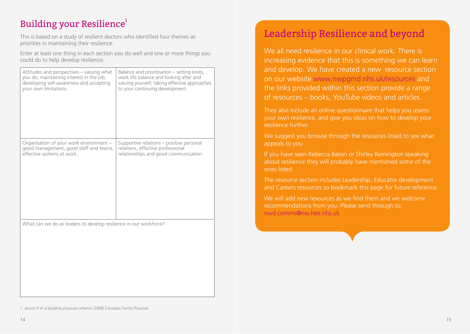### Building your Resilience $^{\rm 1}$

This is based on a study of resilient doctors who identified four themes as priorities in maintaining their resilience.

Enter at least one thing in each section you do well and one or more things you could do to help develop resilience:

| Attitudes and perspectives - valuing what                         | Balance and prioritisation - setting limits,  |
|-------------------------------------------------------------------|-----------------------------------------------|
| you do, maintaining interest in the job,                          | work life balance and looking after and       |
| developing self-awareness and accepting                           | valuing yourself, taking effective approaches |
| your own limitations.                                             | to your continuing development.               |
| Organisation of your work environment -                           | Supportive relations - positive personal      |
| good management, good staff and teams,                            | relations, effective professional             |
| effective systems at work.                                        | relationships and good communication.         |
| What can we do as leaders to develop resilience in our workforce? |                                               |

## Leadership Resilience and beyond

We all need resilience in our clinical work. There is increasing evidence that this is something we can learn and develop. We have created a new resource section on our website www.nwpgmd.nhs.uk/resources and the links provided within this section provide a range of resources – books, YouTube videos and articles.

They also include an online questionnaire that helps you assess your own resilience, and give you ideas on how to develop your resilience further.

We suggest you browse through the resources listed to see what appeals to you.

If you have seen Rebecca Baron or Shirley Remington speaking about resilience they will probably have mentioned some of the ones listed.

The resource section includes Leadership, Educator development and Careers resources so bookmark this page for future reference.

We will add new resources as we find them and we welcome recommendations from you. Please send through to: nwd.comms@nw.hee.nhs.uk

<sup>1.</sup> Jenson P et al Building physician reliance (2008) Canadian Family Physician